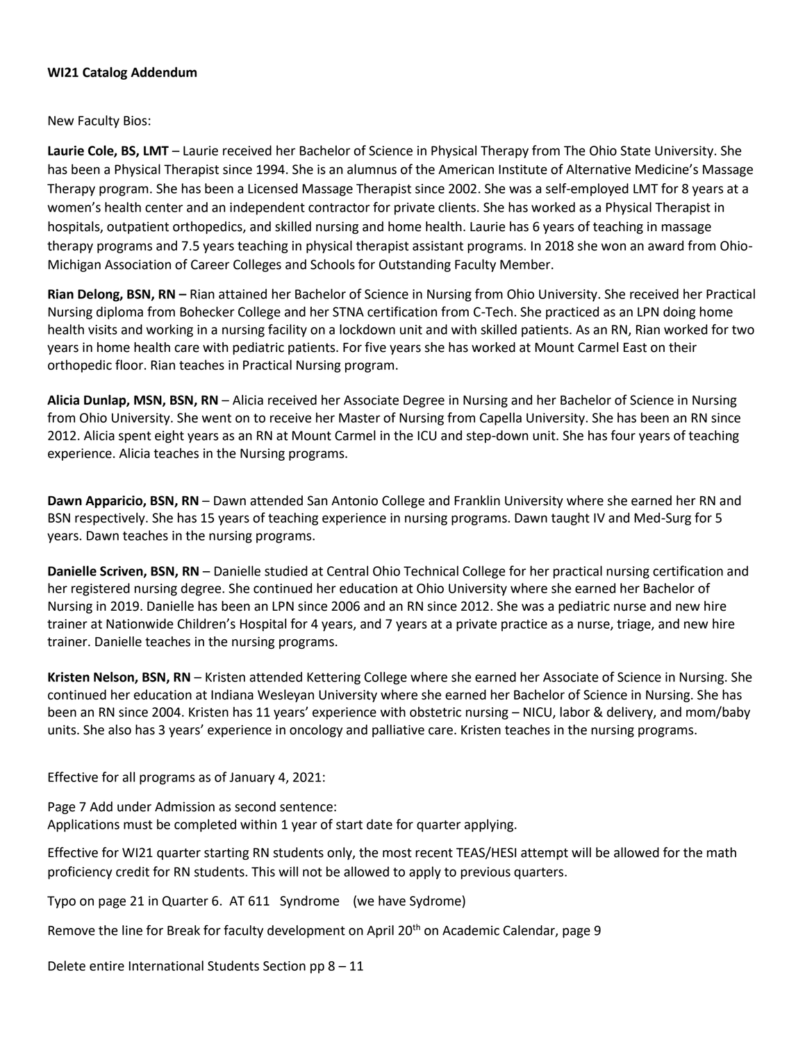#### **WI21 Catalog Addendum**

New Faculty Bios:

**Laurie Cole, BS, LMT** – Laurie received her Bachelor of Science in Physical Therapy from The Ohio State University. She has been a Physical Therapist since 1994. She is an alumnus of the American Institute of Alternative Medicine's Massage Therapy program. She has been a Licensed Massage Therapist since 2002. She was a self-employed LMT for 8 years at a women's health center and an independent contractor for private clients. She has worked as a Physical Therapist in hospitals, outpatient orthopedics, and skilled nursing and home health. Laurie has 6 years of teaching in massage therapy programs and 7.5 years teaching in physical therapist assistant programs. In 2018 she won an award from Ohio-Michigan Association of Career Colleges and Schools for Outstanding Faculty Member.

**Rian Delong, BSN, RN –** Rian attained her Bachelor of Science in Nursing from Ohio University. She received her Practical Nursing diploma from Bohecker College and her STNA certification from C-Tech. She practiced as an LPN doing home health visits and working in a nursing facility on a lockdown unit and with skilled patients. As an RN, Rian worked for two years in home health care with pediatric patients. For five years she has worked at Mount Carmel East on their orthopedic floor. Rian teaches in Practical Nursing program.

**Alicia Dunlap, MSN, BSN, RN** – Alicia received her Associate Degree in Nursing and her Bachelor of Science in Nursing from Ohio University. She went on to receive her Master of Nursing from Capella University. She has been an RN since 2012. Alicia spent eight years as an RN at Mount Carmel in the ICU and step-down unit. She has four years of teaching experience. Alicia teaches in the Nursing programs.

**Dawn Apparicio, BSN, RN** – Dawn attended San Antonio College and Franklin University where she earned her RN and BSN respectively. She has 15 years of teaching experience in nursing programs. Dawn taught IV and Med-Surg for 5 years. Dawn teaches in the nursing programs.

**Danielle Scriven, BSN, RN** – Danielle studied at Central Ohio Technical College for her practical nursing certification and her registered nursing degree. She continued her education at Ohio University where she earned her Bachelor of Nursing in 2019. Danielle has been an LPN since 2006 and an RN since 2012. She was a pediatric nurse and new hire trainer at Nationwide Children's Hospital for 4 years, and 7 years at a private practice as a nurse, triage, and new hire trainer. Danielle teaches in the nursing programs.

**Kristen Nelson, BSN, RN** – Kristen attended Kettering College where she earned her Associate of Science in Nursing. She continued her education at Indiana Wesleyan University where she earned her Bachelor of Science in Nursing. She has been an RN since 2004. Kristen has 11 years' experience with obstetric nursing – NICU, labor & delivery, and mom/baby units. She also has 3 years' experience in oncology and palliative care. Kristen teaches in the nursing programs.

Effective for all programs as of January 4, 2021:

Page 7 Add under Admission as second sentence: Applications must be completed within 1 year of start date for quarter applying.

Effective for WI21 quarter starting RN students only, the most recent TEAS/HESI attempt will be allowed for the math proficiency credit for RN students. This will not be allowed to apply to previous quarters.

Typo on page 21 in Quarter 6. AT 611 Syndrome (we have Sydrome)

Remove the line for Break for faculty development on April 20<sup>th</sup> on Academic Calendar, page 9

Delete entire International Students Section pp 8 – 11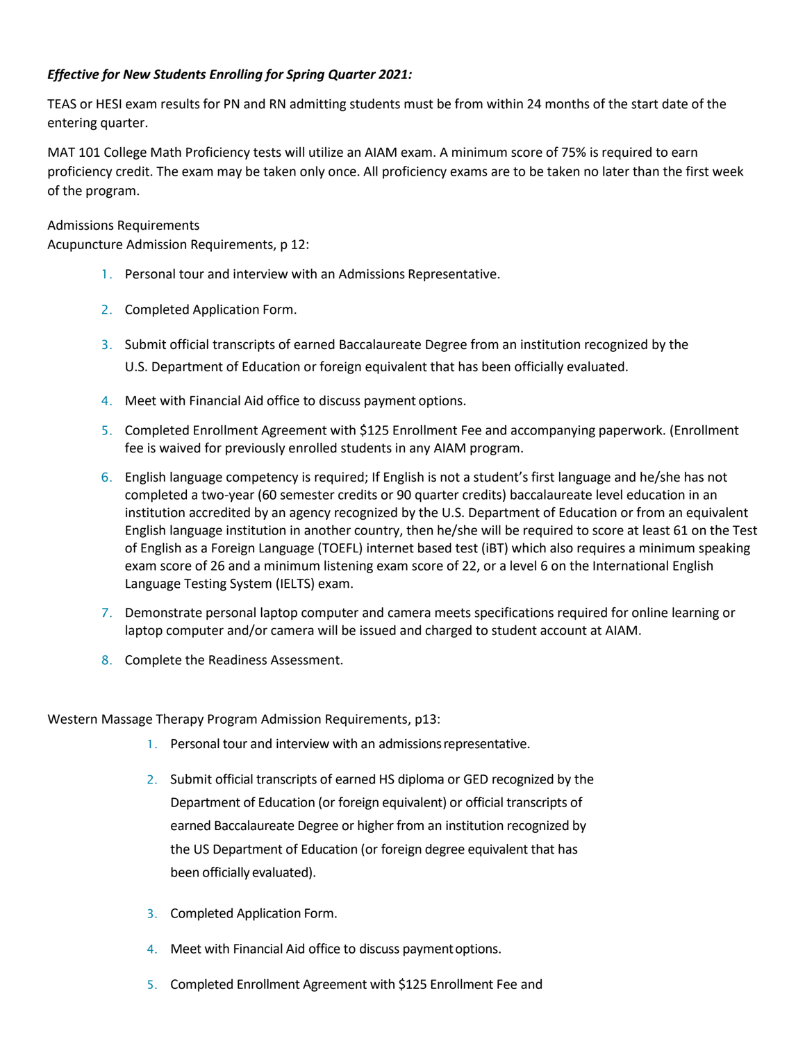### *Effective for New Students Enrolling for Spring Quarter 2021:*

TEAS or HESI exam results for PN and RN admitting students must be from within 24 months of the start date of the entering quarter.

MAT 101 College Math Proficiency tests will utilize an AIAM exam. A minimum score of 75% is required to earn proficiency credit. The exam may be taken only once. All proficiency exams are to be taken no later than the first week of the program.

Admissions Requirements

Acupuncture Admission Requirements, p 12:

- 1. Personal tour and interview with an Admissions Representative.
- 2. Completed Application Form.
- 3. Submit official transcripts of earned Baccalaureate Degree from an institution recognized by the U.S. Department of Education or foreign equivalent that has been officially evaluated.
- 4. Meet with Financial Aid office to discuss payment options.
- 5. Completed Enrollment Agreement with \$125 Enrollment Fee and accompanying paperwork. (Enrollment fee is waived for previously enrolled students in any AIAM program.
- 6. English language competency is required; If English is not a student's first language and he/she has not completed a two-year (60 semester credits or 90 quarter credits) baccalaureate level education in an institution accredited by an agency recognized by the U.S. Department of Education or from an equivalent English language institution in another country, then he/she will be required to score at least 61 on the Test of English as a Foreign Language (TOEFL) internet based test (iBT) which also requires a minimum speaking exam score of 26 and a minimum listening exam score of 22, or a level 6 on the International English Language Testing System (IELTS) exam.
- 7. Demonstrate personal laptop computer and camera meets specifications required for online learning or laptop computer and/or camera will be issued and charged to student account at AIAM.
- 8. Complete the Readiness Assessment.

Western Massage Therapy Program Admission Requirements, p13:

- 1. Personal tour and interview with an admissionsrepresentative.
- 2. Submit official transcripts of earned HS diploma or GED recognized by the Department of Education (or foreign equivalent) or official transcripts of earned Baccalaureate Degree or higher from an institution recognized by the US Department of Education (or foreign degree equivalent that has been officially evaluated).
- 3. Completed Application Form.
- 4. Meet with Financial Aid office to discuss payment options.
- 5. Completed Enrollment Agreement with \$125 Enrollment Fee and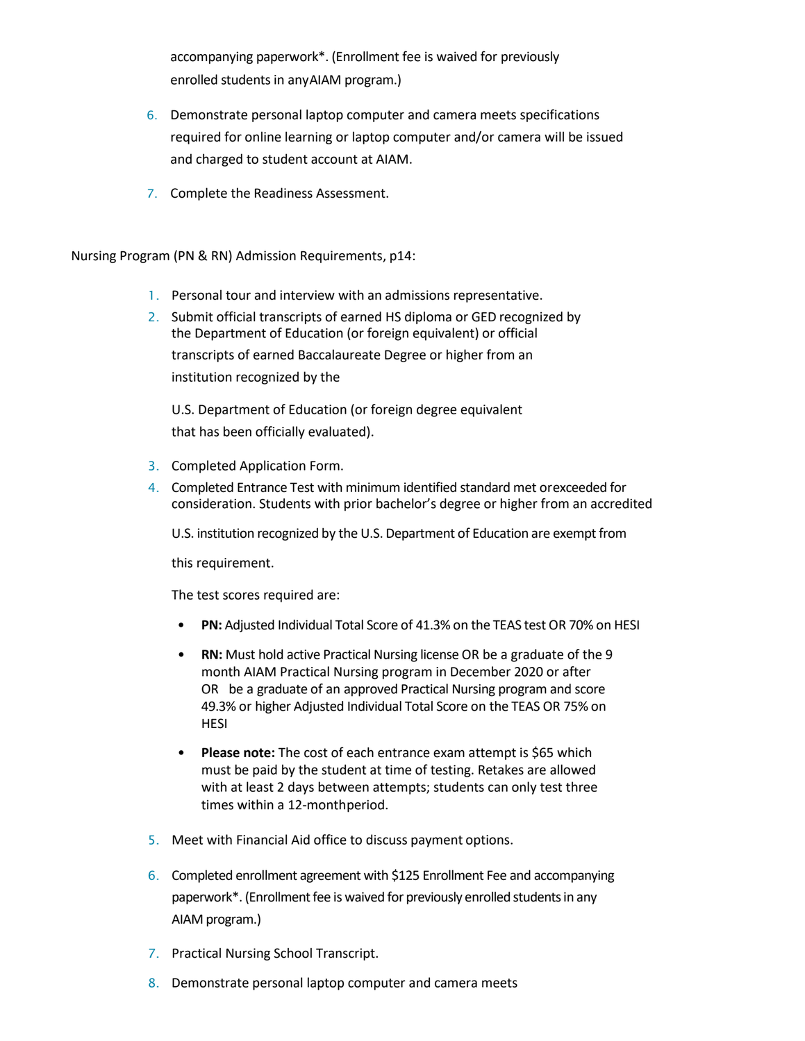accompanying paperwork\*. (Enrollment fee is waived for previously enrolled students in anyAIAM program.)

- 6. Demonstrate personal laptop computer and camera meets specifications required for online learning or laptop computer and/or camera will be issued and charged to student account at AIAM.
- 7. Complete the Readiness Assessment.

Nursing Program (PN & RN) Admission Requirements, p14:

- 1. Personal tour and interview with an admissions representative.
- 2. Submit official transcripts of earned HS diploma or GED recognized by the Department of Education (or foreign equivalent) or official transcripts of earned Baccalaureate Degree or higher from an institution recognized by the

U.S. Department of Education (or foreign degree equivalent that has been officially evaluated).

- 3. Completed Application Form.
- 4. Completed Entrance Test with minimum identified standard met orexceeded for consideration. Students with prior bachelor's degree or higher from an accredited
	- U.S. institution recognized by the U.S. Department of Education are exempt from

this requirement.

The test scores required are:

- **PN:** Adjusted Individual Total Score of 41.3% on the TEAS test OR 70% on HESI
- **RN:** Must hold active Practical Nursing license OR be a graduate of the 9 month AIAM Practical Nursing program in December 2020 or after OR be a graduate of an approved Practical Nursing program and score 49.3% or higher Adjusted Individual Total Score on the TEAS OR 75% on HESI
- **Please note:** The cost of each entrance exam attempt is \$65 which must be paid by the student at time of testing. Retakes are allowed with at least 2 days between attempts; students can only test three times within a 12-monthperiod.
- 5. Meet with Financial Aid office to discuss payment options.
- 6. Completed enrollment agreement with \$125 Enrollment Fee and accompanying paperwork\*. (Enrollment fee is waived for previously enrolled students in any AIAM program.)
- 7. Practical Nursing School Transcript.
- 8. Demonstrate personal laptop computer and camera meets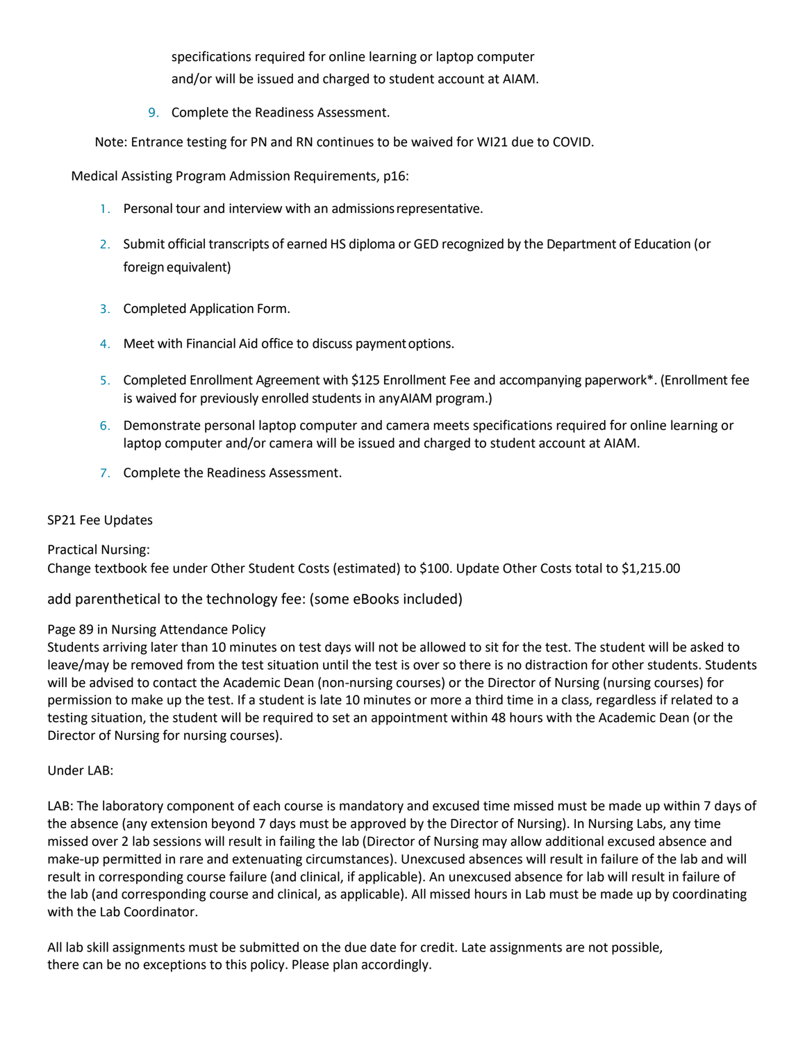specifications required for online learning or laptop computer and/or will be issued and charged to student account at AIAM.

9. Complete the Readiness Assessment.

Note: Entrance testing for PN and RN continues to be waived for WI21 due to COVID.

Medical Assisting Program Admission Requirements, p16:

- 1. Personal tour and interview with an admissionsrepresentative.
- 2. Submit official transcripts of earned HS diploma or GED recognized by the Department of Education (or foreign equivalent)
- 3. Completed Application Form.
- 4. Meet with Financial Aid office to discuss paymentoptions.
- 5. Completed Enrollment Agreement with \$125 Enrollment Fee and accompanying paperwork\*. (Enrollment fee is waived for previously enrolled students in anyAIAM program.)
- 6. Demonstrate personal laptop computer and camera meets specifications required for online learning or laptop computer and/or camera will be issued and charged to student account at AIAM.
- 7. Complete the Readiness Assessment.

#### SP21 Fee Updates

Practical Nursing: Change textbook fee under Other Student Costs (estimated) to \$100. Update Other Costs total to \$1,215.00

add parenthetical to the technology fee: (some eBooks included)

### Page 89 in Nursing Attendance Policy

Students arriving later than 10 minutes on test days will not be allowed to sit for the test. The student will be asked to leave/may be removed from the test situation until the test is over so there is no distraction for other students. Students will be advised to contact the Academic Dean (non-nursing courses) or the Director of Nursing (nursing courses) for permission to make up the test. If a student is late 10 minutes or more a third time in a class, regardless if related to a testing situation, the student will be required to set an appointment within 48 hours with the Academic Dean (or the Director of Nursing for nursing courses).

### Under LAB:

LAB: The laboratory component of each course is mandatory and excused time missed must be made up within 7 days of the absence (any extension beyond 7 days must be approved by the Director of Nursing). In Nursing Labs, any time missed over 2 lab sessions will result in failing the lab (Director of Nursing may allow additional excused absence and make-up permitted in rare and extenuating circumstances). Unexcused absences will result in failure of the lab and will result in corresponding course failure (and clinical, if applicable). An unexcused absence for lab will result in failure of the lab (and corresponding course and clinical, as applicable). All missed hours in Lab must be made up by coordinating with the Lab Coordinator.

All lab skill assignments must be submitted on the due date for credit. Late assignments are not possible, there can be no exceptions to this policy. Please plan accordingly.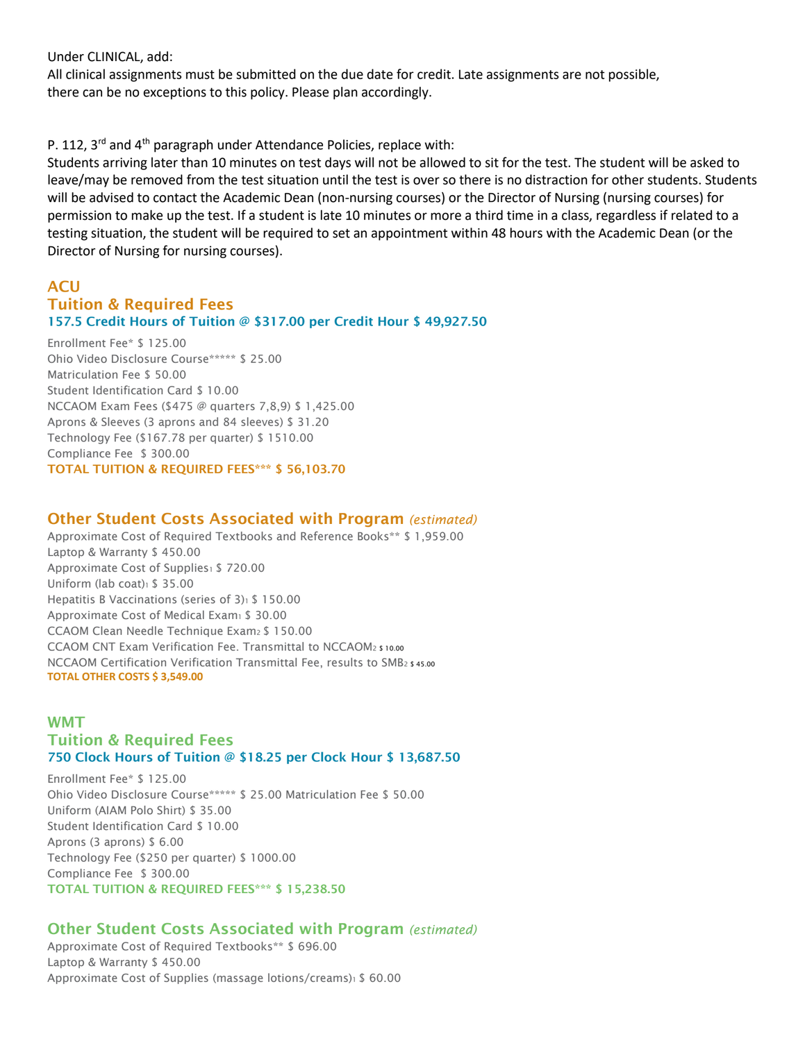Under CLINICAL, add:

All clinical assignments must be submitted on the due date for credit. Late assignments are not possible, there can be no exceptions to this policy. Please plan accordingly.

### P. 112,  $3^{rd}$  and  $4^{th}$  paragraph under Attendance Policies, replace with:

Students arriving later than 10 minutes on test days will not be allowed to sit for the test. The student will be asked to leave/may be removed from the test situation until the test is over so there is no distraction for other students. Students will be advised to contact the Academic Dean (non-nursing courses) or the Director of Nursing (nursing courses) for permission to make up the test. If a student is late 10 minutes or more a third time in a class, regardless if related to a testing situation, the student will be required to set an appointment within 48 hours with the Academic Dean (or the Director of Nursing for nursing courses).

### **ACU** Tuition & Required Fees 157.5 Credit Hours of Tuition @ \$317.00 per Credit Hour \$ 49,927.50

Enrollment Fee\* \$ 125.00 Ohio Video Disclosure Course\*\*\*\*\* \$ 25.00 Matriculation Fee \$ 50.00 Student Identification Card \$ 10.00 NCCAOM Exam Fees (\$475 @ quarters 7,8,9) \$ 1,425.00 Aprons & Sleeves (3 aprons and 84 sleeves) \$ 31.20 Technology Fee (\$167.78 per quarter) \$ 1510.00 Compliance Fee \$ 300.00 TOTAL TUITION & REQUIRED FEES\*\*\* \$ 56,103.70

### Other Student Costs Associated with Program *(estimated)*

Approximate Cost of Required Textbooks and Reference Books\*\* \$ 1,959.00 Laptop & Warranty \$ 450.00 Approximate Cost of Supplies1 \$720.00 Uniform (lab coat) $1 \$  35.00 Hepatitis B Vaccinations (series of 3)1 \$ 150.00 Approximate Cost of Medical Exam1 \$ 30.00 CCAOM Clean Needle Technique Exam2 \$ 150.00 CCAOM CNT Exam Verification Fee. Transmittal to NCCAOM2 \$ 10.00 NCCAOM Certification Verification Transmittal Fee, results to SMB2 \$ 45.00 **TOTAL OTHER COSTS \$ 3,549.00**

## WMT Tuition & Required Fees 750 Clock Hours of Tuition @ \$18.25 per Clock Hour \$ 13,687.50

Enrollment Fee\* \$ 125.00 Ohio Video Disclosure Course\*\*\*\*\* \$ 25.00 Matriculation Fee \$ 50.00 Uniform (AIAM Polo Shirt) \$ 35.00 Student Identification Card \$ 10.00 Aprons (3 aprons) \$ 6.00 Technology Fee (\$250 per quarter) \$ 1000.00 Compliance Fee \$ 300.00 TOTAL TUITION & REQUIRED FEES\*\*\* \$ 15,238.50

## Other Student Costs Associated with Program *(estimated)*

Approximate Cost of Required Textbooks\*\* \$ 696.00 Laptop & Warranty \$ 450.00 Approximate Cost of Supplies (massage lotions/creams)<sup>1</sup> \$ 60.00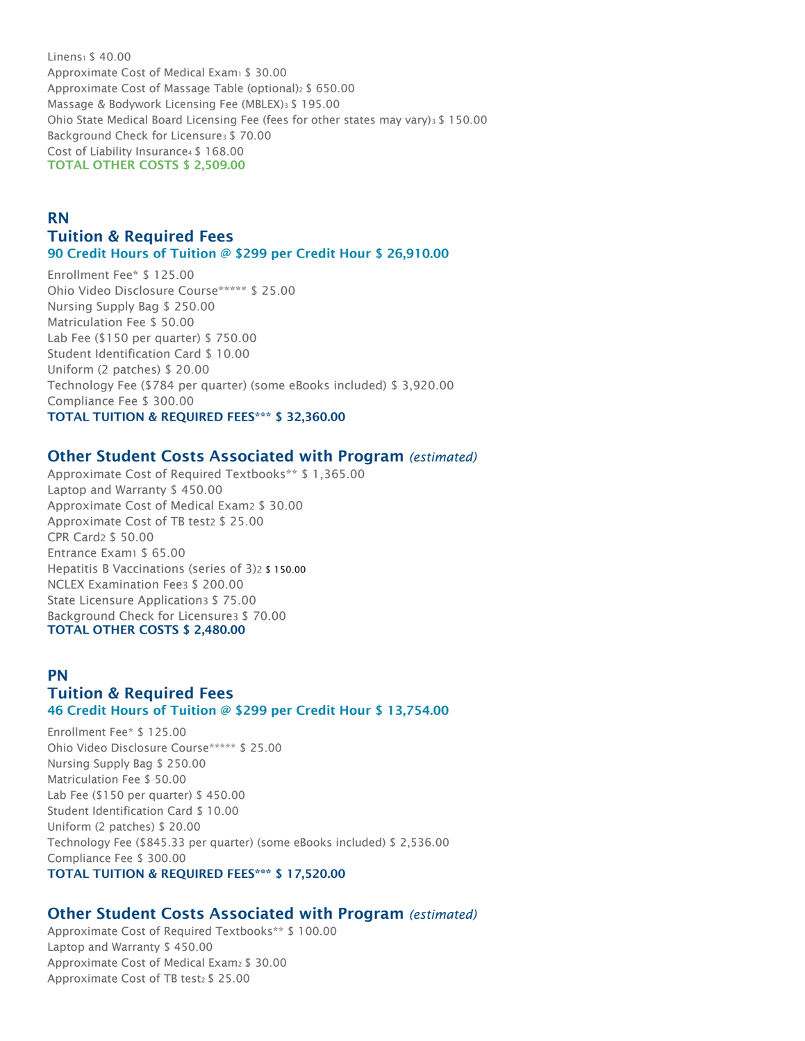Linens<sub>1</sub> \$ 40.00 Approximate Cost of Medical Exam1 \$ 30.00 Approximate Cost of Massage Table (optional)<sup>2</sup> \$ 650.00 Massage & Bodywork Licensing Fee (MBLEX)3 \$ 195.00 Ohio State Medical Board Licensing Fee (fees for other states may vary) $3\$  150.00 Background Check for Licensure3 \$ 70.00 Cost of Liability Insurance4 \$ 168.00 TOTAL OTHER COSTS \$ 2,509.00

### RN Tuition & Required Fees 90 Credit Hours of Tuition @ \$299 per Credit Hour \$ 26,910.00

Enrollment Fee\* \$ 125.00 Ohio Video Disclosure Course\*\*\*\*\* \$ 25.00 Nursing Supply Bag \$ 250.00 Matriculation Fee \$ 50.00 Lab Fee (\$150 per quarter) \$ 750.00 Student Identification Card \$ 10.00 Uniform (2 patches) \$ 20.00 Technology Fee (\$784 per quarter) (some eBooks included) \$ 3,920.00 Compliance Fee \$ 300.00 TOTAL TUITION & REQUIRED FEES\*\*\* \$ 32,360.00

### Other Student Costs Associated with Program *(estimated)*

Approximate Cost of Required Textbooks\*\* \$ 1,365.00 Laptop and Warranty \$ 450.00 Approximate Cost of Medical Exam2 \$ 30.00 Approximate Cost of TB test2 \$ 25.00 CPR Card2 \$ 50.00 Entrance Exam1 \$ 65.00 Hepatitis B Vaccinations (series of 3)2 \$ 150.00 NCLEX Examination Fee3 \$ 200.00 State Licensure Application3 \$ 75.00 Background Check for Licensure3 \$ 70.00 TOTAL OTHER COSTS \$ 2,480.00

# PN Tuition & Required Fees 46 Credit Hours of Tuition @ \$299 per Credit Hour \$ 13,754.00

Enrollment Fee\* \$ 125.00 Ohio Video Disclosure Course\*\*\*\*\* \$ 25.00 Nursing Supply Bag \$ 250.00 Matriculation Fee \$ 50.00 Lab Fee (\$150 per quarter) \$ 450.00 Student Identification Card \$ 10.00 Uniform (2 patches) \$ 20.00 Technology Fee (\$845.33 per quarter) (some eBooks included) \$ 2,536.00 Compliance Fee \$ 300.00 TOTAL TUITION & REQUIRED FEES\*\*\* \$ 17,520.00

# Other Student Costs Associated with Program *(estimated)*

Approximate Cost of Required Textbooks\*\* \$ 100.00 Laptop and Warranty \$ 450.00 Approximate Cost of Medical Exam2 \$ 30.00 Approximate Cost of TB test2 \$ 25.00